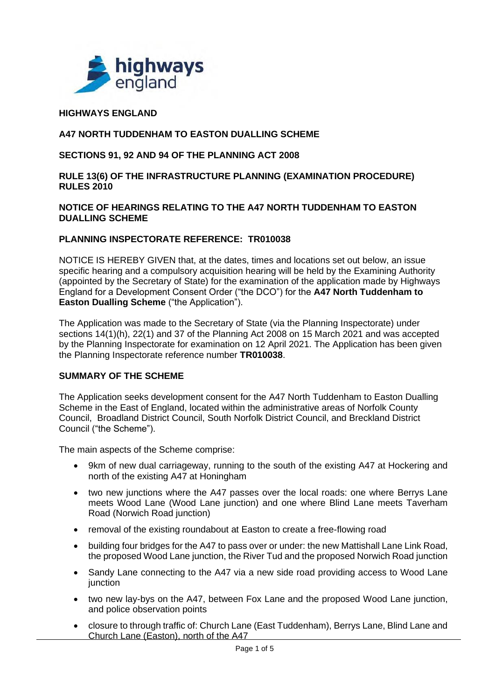

### **HIGHWAYS ENGLAND**

### **A47 NORTH TUDDENHAM TO EASTON DUALLING SCHEME**

#### **SECTIONS 91, 92 AND 94 OF THE PLANNING ACT 2008**

#### **RULE 13(6) OF THE INFRASTRUCTURE PLANNING (EXAMINATION PROCEDURE) RULES 2010**

#### **NOTICE OF HEARINGS RELATING TO THE A47 NORTH TUDDENHAM TO EASTON DUALLING SCHEME**

#### **PLANNING INSPECTORATE REFERENCE: TR010038**

NOTICE IS HEREBY GIVEN that, at the dates, times and locations set out below, an issue specific hearing and a compulsory acquisition hearing will be held by the Examining Authority (appointed by the Secretary of State) for the examination of the application made by Highways England for a Development Consent Order ("the DCO") for the **A47 North Tuddenham to Easton Dualling Scheme** ("the Application").

The Application was made to the Secretary of State (via the Planning Inspectorate) under sections 14(1)(h), 22(1) and 37 of the Planning Act 2008 on 15 March 2021 and was accepted by the Planning Inspectorate for examination on 12 April 2021. The Application has been given the Planning Inspectorate reference number **TR010038**.

#### **SUMMARY OF THE SCHEME**

The Application seeks development consent for the A47 North Tuddenham to Easton Dualling Scheme in the East of England, located within the administrative areas of Norfolk County Council, Broadland District Council, South Norfolk District Council, and Breckland District Council ("the Scheme").

The main aspects of the Scheme comprise:

- 9km of new dual carriageway, running to the south of the existing A47 at Hockering and north of the existing A47 at Honingham
- two new junctions where the A47 passes over the local roads: one where Berrys Lane meets Wood Lane (Wood Lane junction) and one where Blind Lane meets Taverham Road (Norwich Road junction)
- removal of the existing roundabout at Easton to create a free-flowing road
- building four bridges for the A47 to pass over or under: the new Mattishall Lane Link Road, the proposed Wood Lane junction, the River Tud and the proposed Norwich Road junction
- Sandy Lane connecting to the A47 via a new side road providing access to Wood Lane junction
- two new lay-bys on the A47, between Fox Lane and the proposed Wood Lane junction, and police observation points
- closure to through traffic of: Church Lane (East Tuddenham), Berrys Lane, Blind Lane and Church Lane (Easton), north of the A47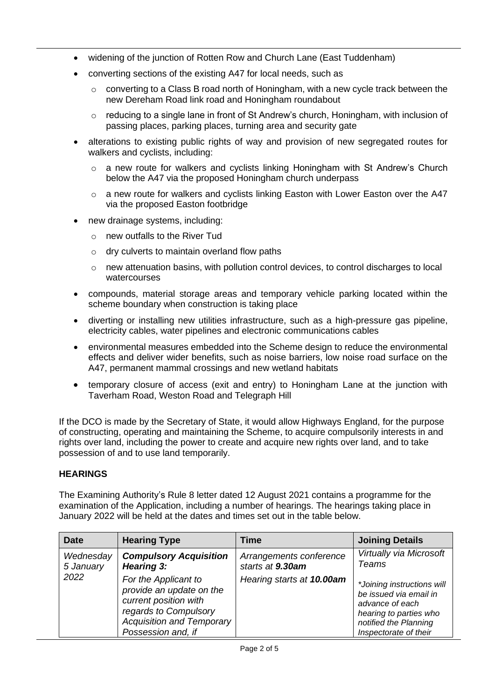- widening of the junction of Rotten Row and Church Lane (East Tuddenham)
- converting sections of the existing A47 for local needs, such as
	- $\circ$  converting to a Class B road north of Honingham, with a new cycle track between the new Dereham Road link road and Honingham roundabout
	- $\circ$  reducing to a single lane in front of St Andrew's church, Honingham, with inclusion of passing places, parking places, turning area and security gate
- alterations to existing public rights of way and provision of new segregated routes for walkers and cyclists, including:
	- $\circ$  a new route for walkers and cyclists linking Honingham with St Andrew's Church below the A47 via the proposed Honingham church underpass
	- $\circ$  a new route for walkers and cyclists linking Easton with Lower Easton over the A47 via the proposed Easton footbridge
- new drainage systems, including:
	- o new outfalls to the River Tud
	- $\circ$  dry culverts to maintain overland flow paths
	- o new attenuation basins, with pollution control devices, to control discharges to local watercourses
- compounds, material storage areas and temporary vehicle parking located within the scheme boundary when construction is taking place
- diverting or installing new utilities infrastructure, such as a high-pressure gas pipeline, electricity cables, water pipelines and electronic communications cables
- environmental measures embedded into the Scheme design to reduce the environmental effects and deliver wider benefits, such as noise barriers, low noise road surface on the A47, permanent mammal crossings and new wetland habitats
- temporary closure of access (exit and entry) to Honingham Lane at the junction with Taverham Road, Weston Road and Telegraph Hill

If the DCO is made by the Secretary of State, it would allow Highways England, for the purpose of constructing, operating and maintaining the Scheme, to acquire compulsorily interests in and rights over land, including the power to create and acquire new rights over land, and to take possession of and to use land temporarily.

#### **HEARINGS**

The Examining Authority's Rule 8 letter dated 12 August 2021 contains a programme for the examination of the Application, including a number of hearings. The hearings taking place in January 2022 will be held at the dates and times set out in the table below.

| <b>Date</b>            | <b>Hearing Type</b>                                                                                                                                          | Time                                        | <b>Joining Details</b>                                                                                                                              |
|------------------------|--------------------------------------------------------------------------------------------------------------------------------------------------------------|---------------------------------------------|-----------------------------------------------------------------------------------------------------------------------------------------------------|
| Wednesday<br>5 January | <b>Compulsory Acquisition</b><br>Hearing 3:                                                                                                                  | Arrangements conference<br>starts at 9.30am | Virtually via Microsoft<br>Teams                                                                                                                    |
| 2022                   | For the Applicant to<br>provide an update on the<br>current position with<br>regards to Compulsory<br><b>Acquisition and Temporary</b><br>Possession and, if | Hearing starts at 10.00am                   | *Joining instructions will<br>be issued via email in<br>advance of each<br>hearing to parties who<br>notified the Planning<br>Inspectorate of their |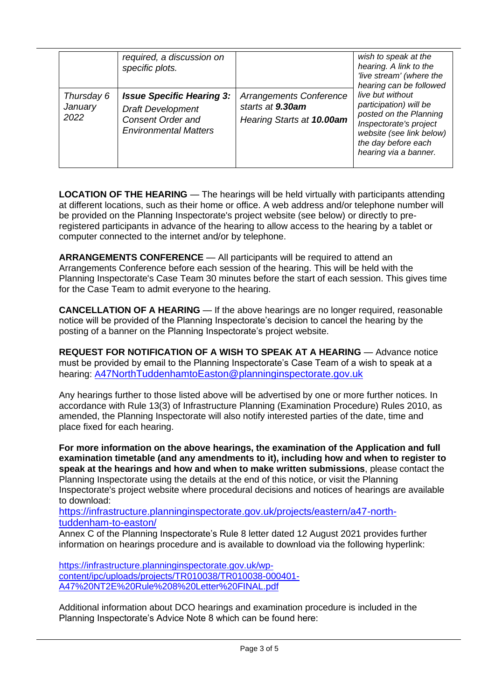|                               | required, a discussion on<br>specific plots.                                                                             |                                                                                 | wish to speak at the<br>hearing. A link to the<br>'live stream' (where the<br>hearing can be followed                                                                      |
|-------------------------------|--------------------------------------------------------------------------------------------------------------------------|---------------------------------------------------------------------------------|----------------------------------------------------------------------------------------------------------------------------------------------------------------------------|
| Thursday 6<br>January<br>2022 | <b>Issue Specific Hearing 3:</b><br><b>Draft Development</b><br><b>Consent Order and</b><br><b>Environmental Matters</b> | <b>Arrangements Conference</b><br>starts at 9.30am<br>Hearing Starts at 10.00am | live but without<br>participation) will be<br>posted on the Planning<br>Inspectorate's project<br>website (see link below)<br>the day before each<br>hearing via a banner. |

**LOCATION OF THE HEARING** — The hearings will be held virtually with participants attending at different locations, such as their home or office. A web address and/or telephone number will be provided on the Planning Inspectorate's project website (see below) or directly to preregistered participants in advance of the hearing to allow access to the hearing by a tablet or computer connected to the internet and/or by telephone.

**ARRANGEMENTS CONFERENCE** — All participants will be required to attend an Arrangements Conference before each session of the hearing. This will be held with the Planning Inspectorate's Case Team 30 minutes before the start of each session. This gives time for the Case Team to admit everyone to the hearing.

**CANCELLATION OF A HEARING** — If the above hearings are no longer required, reasonable notice will be provided of the Planning Inspectorate's decision to cancel the hearing by the posting of a banner on the Planning Inspectorate's project website.

**REQUEST FOR NOTIFICATION OF A WISH TO SPEAK AT A HEARING** — Advance notice must be provided by email to the Planning Inspectorate's Case Team of a wish to speak at a hearing: [A](mailto:A47NorthTuddenhamtoEaston@planninginspectorate.gov.uk)[47NorthTuddenhamtoEaston@planninginspectorate.gov.uk](mailto:A47NorthTuddenhamtoEaston@planninginspectorate.gov.uk)

Any hearings further to those listed above will be advertised by one or more further notices. In accordance with Rule 13(3) of Infrastructure Planning (Examination Procedure) Rules 2010, as amended, the Planning Inspectorate will also notify interested parties of the date, time and place fixed for each hearing.

**For more information on the above hearings, the examination of the Application and full examination timetable (and any amendments to it), including how and when to register to speak at the hearings and how and when to make written submissions**, please contact the Planning Inspectorate using the details at the end of this notice, or visit the Planning Inspectorate's project website where procedural decisions and notices of hearings are available to download:

[https://infrastructure.planninginspectorate.gov.uk/projects/eastern/a47-north](https://infrastructure.planninginspectorate.gov.uk/projects/eastern/a47-north-tuddenham-to-easton/?ipcsection=overvie)[tuddenham-to-easton/](https://infrastructure.planninginspectorate.gov.uk/projects/eastern/a47-north-tuddenham-to-easton/?ipcsection=overvie)

Annex C of the Planning Inspectorate's Rule 8 letter dated 12 August 2021 provides further information on hearings procedure and is available to download via the following hyperlink:

[https://infrastructure.planninginspectorate.gov.uk/wp](https://infrastructure.planninginspectorate.gov.uk/wp-content/ipc/uploads/projects/TR010038/TR010038-000401-A47%20NT2E%20Rule%208%20Letter%20FINAL.pdf)[content/ipc/uploads/projects/TR010038/TR010038-000401-](https://infrastructure.planninginspectorate.gov.uk/wp-content/ipc/uploads/projects/TR010038/TR010038-000401-A47%20NT2E%20Rule%208%20Letter%20FINAL.pdf) [A47%20NT2E%20Rule%208%20Letter%20FINAL.pdf](https://infrastructure.planninginspectorate.gov.uk/wp-content/ipc/uploads/projects/TR010038/TR010038-000401-A47%20NT2E%20Rule%208%20Letter%20FINAL.pdf)

Additional information about DCO hearings and examination procedure is included in the Planning Inspectorate's Advice Note 8 which can be found here: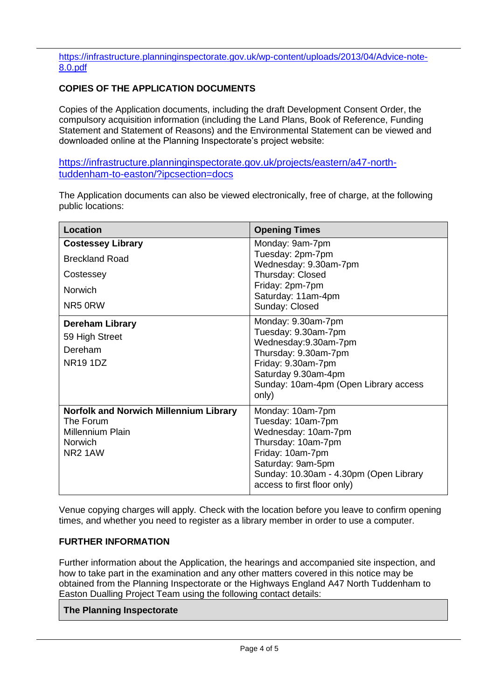[https://infrastructure.planninginspectorate.gov.uk/wp-content/uploads/2013/04/Advice-note-](https://infrastructure.planninginspectorate.gov.uk/wp-content/uploads/2013/04/Advice-note-8.0.pdf)[8.0.pdf](https://infrastructure.planninginspectorate.gov.uk/wp-content/uploads/2013/04/Advice-note-8.0.pdf)

## **COPIES OF THE APPLICATION DOCUMENTS**

Copies of the Application documents, including the draft Development Consent Order, the compulsory acquisition information (including the Land Plans, Book of Reference, Funding Statement and Statement of Reasons) and the Environmental Statement can be viewed and downloaded online at the Planning Inspectorate's project website:

[https://infrastructure.planninginspectorate.gov.uk/projects/eastern/a47-north](https://infrastructure.planninginspectorate.gov.uk/projects/eastern/a47-north-tuddenham-to-easton/?ipcsection=docs)[tuddenham-to-easton/?ipcsection=docs](https://infrastructure.planninginspectorate.gov.uk/projects/eastern/a47-north-tuddenham-to-easton/?ipcsection=docs)

The Application documents can also be viewed electronically, free of charge, at the following public locations:

| <b>Location</b>                                                                                                                | <b>Opening Times</b>                                                                                                                                                                                 |  |
|--------------------------------------------------------------------------------------------------------------------------------|------------------------------------------------------------------------------------------------------------------------------------------------------------------------------------------------------|--|
| <b>Costessey Library</b><br><b>Breckland Road</b><br>Costessey<br><b>Norwich</b><br>NR5 0RW                                    | Monday: 9am-7pm<br>Tuesday: 2pm-7pm<br>Wednesday: 9.30am-7pm<br>Thursday: Closed<br>Friday: 2pm-7pm<br>Saturday: 11am-4pm<br>Sunday: Closed                                                          |  |
| <b>Dereham Library</b><br>59 High Street<br>Dereham<br><b>NR19 1DZ</b>                                                         | Monday: 9.30am-7pm<br>Tuesday: 9.30am-7pm<br>Wednesday:9.30am-7pm<br>Thursday: 9.30am-7pm<br>Friday: 9.30am-7pm<br>Saturday 9.30am-4pm<br>Sunday: 10am-4pm (Open Library access<br>only)             |  |
| <b>Norfolk and Norwich Millennium Library</b><br>The Forum<br><b>Millennium Plain</b><br><b>Norwich</b><br>NR <sub>2</sub> 1AW | Monday: 10am-7pm<br>Tuesday: 10am-7pm<br>Wednesday: 10am-7pm<br>Thursday: 10am-7pm<br>Friday: 10am-7pm<br>Saturday: 9am-5pm<br>Sunday: 10.30am - 4.30pm (Open Library<br>access to first floor only) |  |

Venue copying charges will apply*.* Check with the location before you leave to confirm opening times, and whether you need to register as a library member in order to use a computer.

## **FURTHER INFORMATION**

Further information about the Application, the hearings and accompanied site inspection, and how to take part in the examination and any other matters covered in this notice may be obtained from the Planning Inspectorate or the Highways England A47 North Tuddenham to Easton Dualling Project Team using the following contact details:

#### **The Planning Inspectorate**